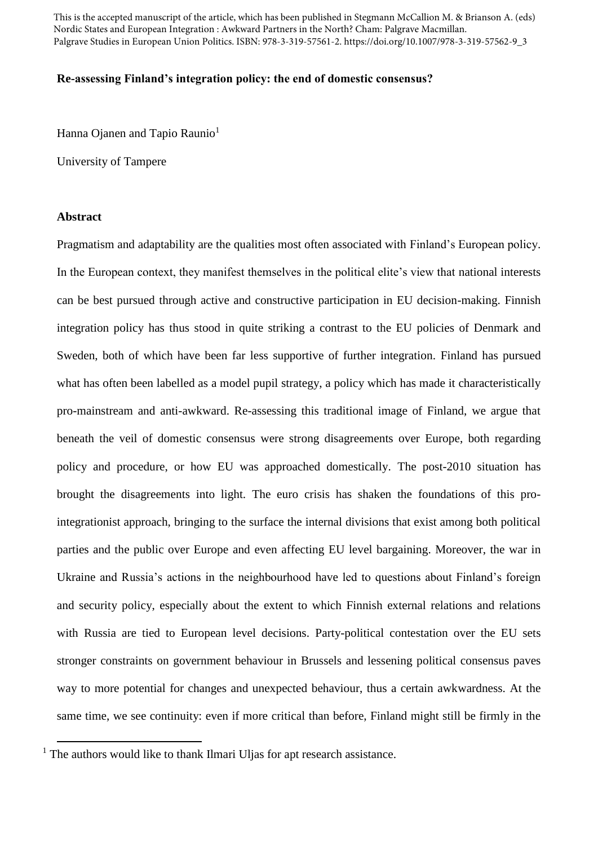This is the accepted manuscript of the article, which has been published in Stegmann McCallion M. & Brianson A. (eds) Nordic States and European Integration : Awkward Partners in the North? Cham: Palgrave Macmillan. Palgrave Studies in European Union Politics. ISBN: 978-3-319-57561-2. https://doi.org/10.1007/978-3-319-57562-9\_3

### **Re-assessing Finland's integration policy: the end of domestic consensus?**

Hanna Ojanen and Tapio Raunio<sup>1</sup>

University of Tampere

## **Abstract**

Pragmatism and adaptability are the qualities most often associated with Finland's European policy. In the European context, they manifest themselves in the political elite's view that national interests can be best pursued through active and constructive participation in EU decision-making. Finnish integration policy has thus stood in quite striking a contrast to the EU policies of Denmark and Sweden, both of which have been far less supportive of further integration. Finland has pursued what has often been labelled as a model pupil strategy, a policy which has made it characteristically pro-mainstream and anti-awkward. Re-assessing this traditional image of Finland, we argue that beneath the veil of domestic consensus were strong disagreements over Europe, both regarding policy and procedure, or how EU was approached domestically. The post-2010 situation has brought the disagreements into light. The euro crisis has shaken the foundations of this prointegrationist approach, bringing to the surface the internal divisions that exist among both political parties and the public over Europe and even affecting EU level bargaining. Moreover, the war in Ukraine and Russia's actions in the neighbourhood have led to questions about Finland's foreign and security policy, especially about the extent to which Finnish external relations and relations with Russia are tied to European level decisions. Party-political contestation over the EU sets stronger constraints on government behaviour in Brussels and lessening political consensus paves way to more potential for changes and unexpected behaviour, thus a certain awkwardness. At the same time, we see continuity: even if more critical than before, Finland might still be firmly in the

The authors would like to thank Ilmari Uljas for apt research assistance.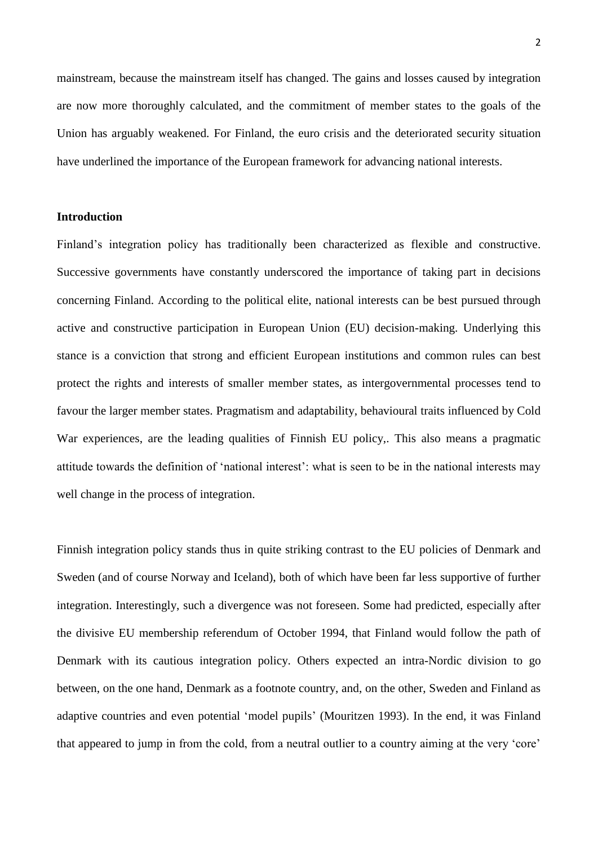mainstream, because the mainstream itself has changed. The gains and losses caused by integration are now more thoroughly calculated, and the commitment of member states to the goals of the Union has arguably weakened. For Finland, the euro crisis and the deteriorated security situation have underlined the importance of the European framework for advancing national interests.

# **Introduction**

Finland's integration policy has traditionally been characterized as flexible and constructive. Successive governments have constantly underscored the importance of taking part in decisions concerning Finland. According to the political elite, national interests can be best pursued through active and constructive participation in European Union (EU) decision-making. Underlying this stance is a conviction that strong and efficient European institutions and common rules can best protect the rights and interests of smaller member states, as intergovernmental processes tend to favour the larger member states. Pragmatism and adaptability, behavioural traits influenced by Cold War experiences, are the leading qualities of Finnish EU policy. This also means a pragmatic attitude towards the definition of 'national interest': what is seen to be in the national interests may well change in the process of integration.

Finnish integration policy stands thus in quite striking contrast to the EU policies of Denmark and Sweden (and of course Norway and Iceland), both of which have been far less supportive of further integration. Interestingly, such a divergence was not foreseen. Some had predicted, especially after the divisive EU membership referendum of October 1994, that Finland would follow the path of Denmark with its cautious integration policy. Others expected an intra-Nordic division to go between, on the one hand, Denmark as a footnote country, and, on the other, Sweden and Finland as adaptive countries and even potential 'model pupils' (Mouritzen 1993). In the end, it was Finland that appeared to jump in from the cold, from a neutral outlier to a country aiming at the very 'core'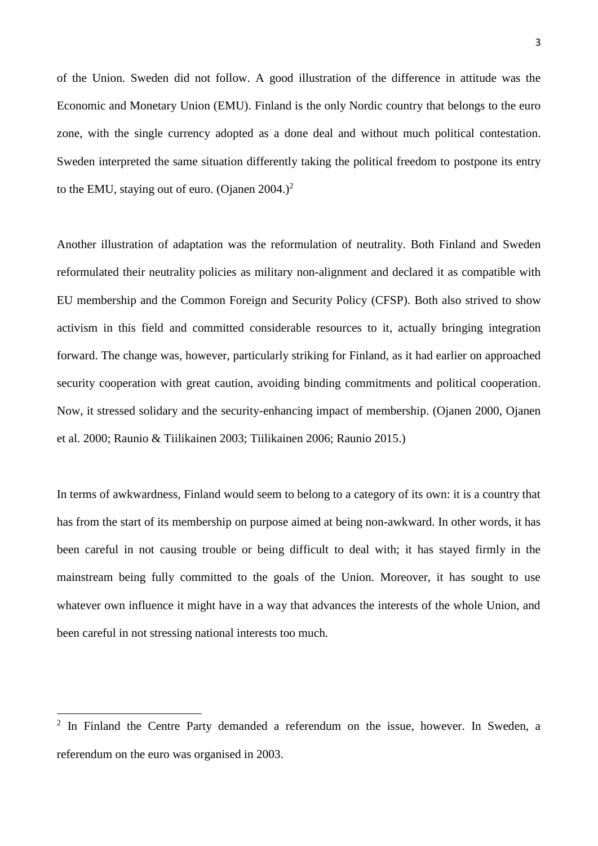of the Union. Sweden did not follow. A good illustration of the difference in attitude was the Economic and Monetary Union (EMU). Finland is the only Nordic country that belongs to the euro zone, with the single currency adopted as a done deal and without much political contestation. Sweden interpreted the same situation differently taking the political freedom to postpone its entry to the EMU, staying out of euro. (Ojanen  $2004$ .)<sup>2</sup>

Another illustration of adaptation was the reformulation of neutrality. Both Finland and Sweden reformulated their neutrality policies as military non-alignment and declared it as compatible with EU membership and the Common Foreign and Security Policy (CFSP). Both also strived to show activism in this field and committed considerable resources to it, actually bringing integration forward. The change was, however, particularly striking for Finland, as it had earlier on approached security cooperation with great caution, avoiding binding commitments and political cooperation. Now, it stressed solidary and the security-enhancing impact of membership. (Ojanen 2000, Ojanen et al. 2000; Raunio & Tiilikainen 2003; Tiilikainen 2006; Raunio 2015.)

In terms of awkwardness, Finland would seem to belong to a category of its own: it is a country that has from the start of its membership on purpose aimed at being non-awkward. In other words, it has been careful in not causing trouble or being difficult to deal with; it has stayed firmly in the mainstream being fully committed to the goals of the Union. Moreover, it has sought to use whatever own influence it might have in a way that advances the interests of the whole Union, and been careful in not stressing national interests too much.

1

 $2$  In Finland the Centre Party demanded a referendum on the issue, however. In Sweden, a referendum on the euro was organised in 2003.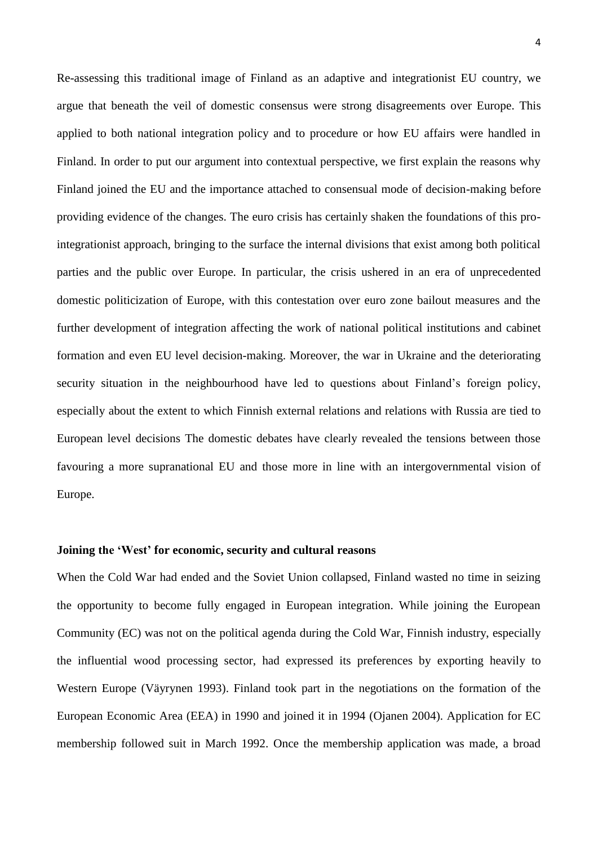Re-assessing this traditional image of Finland as an adaptive and integrationist EU country, we argue that beneath the veil of domestic consensus were strong disagreements over Europe. This applied to both national integration policy and to procedure or how EU affairs were handled in Finland. In order to put our argument into contextual perspective, we first explain the reasons why Finland joined the EU and the importance attached to consensual mode of decision-making before providing evidence of the changes. The euro crisis has certainly shaken the foundations of this prointegrationist approach, bringing to the surface the internal divisions that exist among both political parties and the public over Europe. In particular, the crisis ushered in an era of unprecedented domestic politicization of Europe, with this contestation over euro zone bailout measures and the further development of integration affecting the work of national political institutions and cabinet formation and even EU level decision-making. Moreover, the war in Ukraine and the deteriorating security situation in the neighbourhood have led to questions about Finland's foreign policy, especially about the extent to which Finnish external relations and relations with Russia are tied to European level decisions The domestic debates have clearly revealed the tensions between those favouring a more supranational EU and those more in line with an intergovernmental vision of Europe.

### **Joining the 'West' for economic, security and cultural reasons**

When the Cold War had ended and the Soviet Union collapsed, Finland wasted no time in seizing the opportunity to become fully engaged in European integration. While joining the European Community (EC) was not on the political agenda during the Cold War, Finnish industry, especially the influential wood processing sector, had expressed its preferences by exporting heavily to Western Europe (Väyrynen 1993). Finland took part in the negotiations on the formation of the European Economic Area (EEA) in 1990 and joined it in 1994 (Ojanen 2004). Application for EC membership followed suit in March 1992. Once the membership application was made, a broad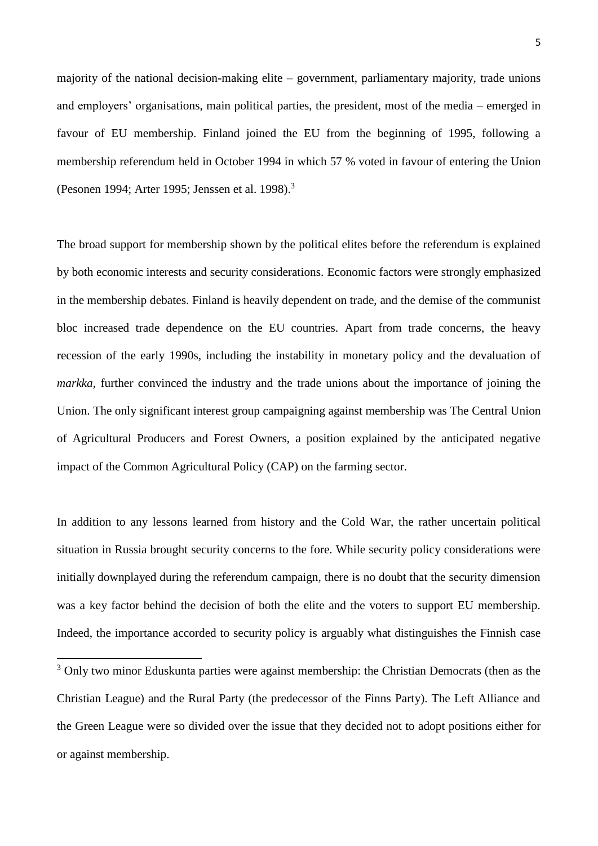majority of the national decision-making elite – government, parliamentary majority, trade unions and employers' organisations, main political parties, the president, most of the media – emerged in favour of EU membership. Finland joined the EU from the beginning of 1995, following a membership referendum held in October 1994 in which 57 % voted in favour of entering the Union (Pesonen 1994; Arter 1995; Jenssen et al. 1998).<sup>3</sup>

The broad support for membership shown by the political elites before the referendum is explained by both economic interests and security considerations. Economic factors were strongly emphasized in the membership debates. Finland is heavily dependent on trade, and the demise of the communist bloc increased trade dependence on the EU countries. Apart from trade concerns, the heavy recession of the early 1990s, including the instability in monetary policy and the devaluation of *markka*, further convinced the industry and the trade unions about the importance of joining the Union. The only significant interest group campaigning against membership was The Central Union of Agricultural Producers and Forest Owners, a position explained by the anticipated negative impact of the Common Agricultural Policy (CAP) on the farming sector.

In addition to any lessons learned from history and the Cold War, the rather uncertain political situation in Russia brought security concerns to the fore. While security policy considerations were initially downplayed during the referendum campaign, there is no doubt that the security dimension was a key factor behind the decision of both the elite and the voters to support EU membership. Indeed, the importance accorded to security policy is arguably what distinguishes the Finnish case

<sup>&</sup>lt;sup>3</sup> Only two minor Eduskunta parties were against membership: the Christian Democrats (then as the Christian League) and the Rural Party (the predecessor of the Finns Party). The Left Alliance and the Green League were so divided over the issue that they decided not to adopt positions either for or against membership.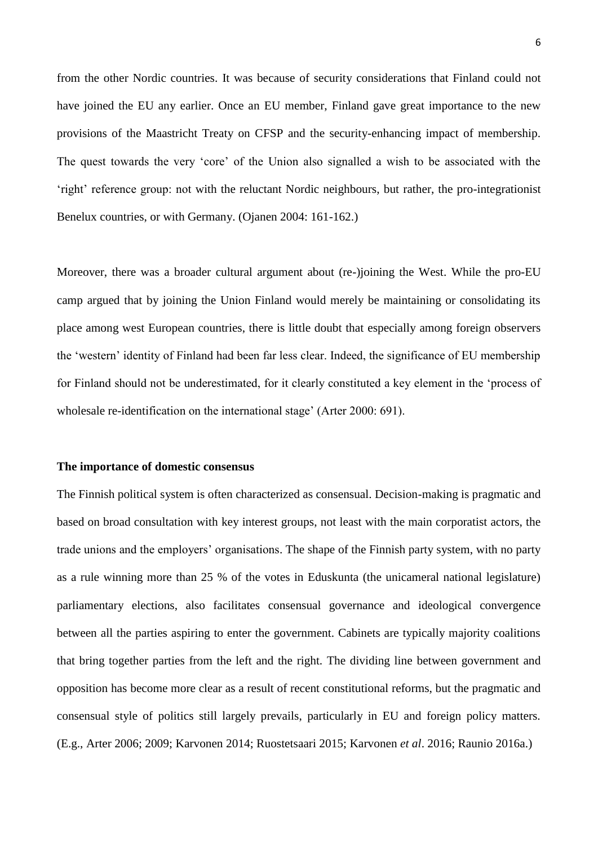from the other Nordic countries. It was because of security considerations that Finland could not have joined the EU any earlier. Once an EU member, Finland gave great importance to the new provisions of the Maastricht Treaty on CFSP and the security-enhancing impact of membership. The quest towards the very 'core' of the Union also signalled a wish to be associated with the 'right' reference group: not with the reluctant Nordic neighbours, but rather, the pro-integrationist Benelux countries, or with Germany. (Ojanen 2004: 161-162.)

Moreover, there was a broader cultural argument about (re-)joining the West. While the pro-EU camp argued that by joining the Union Finland would merely be maintaining or consolidating its place among west European countries, there is little doubt that especially among foreign observers the 'western' identity of Finland had been far less clear. Indeed, the significance of EU membership for Finland should not be underestimated, for it clearly constituted a key element in the 'process of wholesale re-identification on the international stage' (Arter 2000: 691).

# **The importance of domestic consensus**

The Finnish political system is often characterized as consensual. Decision-making is pragmatic and based on broad consultation with key interest groups, not least with the main corporatist actors, the trade unions and the employers' organisations. The shape of the Finnish party system, with no party as a rule winning more than 25 % of the votes in Eduskunta (the unicameral national legislature) parliamentary elections, also facilitates consensual governance and ideological convergence between all the parties aspiring to enter the government. Cabinets are typically majority coalitions that bring together parties from the left and the right. The dividing line between government and opposition has become more clear as a result of recent constitutional reforms, but the pragmatic and consensual style of politics still largely prevails, particularly in EU and foreign policy matters. (E.g., Arter 2006; 2009; Karvonen 2014; Ruostetsaari 2015; Karvonen *et al*. 2016; Raunio 2016a.)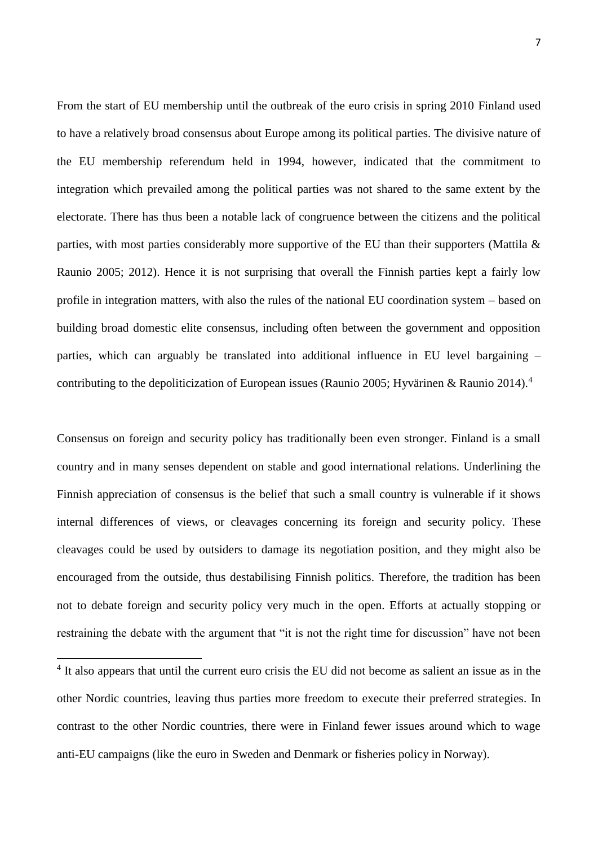From the start of EU membership until the outbreak of the euro crisis in spring 2010 Finland used to have a relatively broad consensus about Europe among its political parties. The divisive nature of the EU membership referendum held in 1994, however, indicated that the commitment to integration which prevailed among the political parties was not shared to the same extent by the electorate. There has thus been a notable lack of congruence between the citizens and the political parties, with most parties considerably more supportive of the EU than their supporters (Mattila & Raunio 2005; 2012). Hence it is not surprising that overall the Finnish parties kept a fairly low profile in integration matters, with also the rules of the national EU coordination system – based on building broad domestic elite consensus, including often between the government and opposition parties, which can arguably be translated into additional influence in EU level bargaining – contributing to the depoliticization of European issues (Raunio 2005; Hyvärinen & Raunio 2014).<sup>4</sup>

Consensus on foreign and security policy has traditionally been even stronger. Finland is a small country and in many senses dependent on stable and good international relations. Underlining the Finnish appreciation of consensus is the belief that such a small country is vulnerable if it shows internal differences of views, or cleavages concerning its foreign and security policy. These cleavages could be used by outsiders to damage its negotiation position, and they might also be encouraged from the outside, thus destabilising Finnish politics. Therefore, the tradition has been not to debate foreign and security policy very much in the open. Efforts at actually stopping or restraining the debate with the argument that "it is not the right time for discussion" have not been

<sup>&</sup>lt;sup>4</sup> It also appears that until the current euro crisis the EU did not become as salient an issue as in the other Nordic countries, leaving thus parties more freedom to execute their preferred strategies. In contrast to the other Nordic countries, there were in Finland fewer issues around which to wage anti-EU campaigns (like the euro in Sweden and Denmark or fisheries policy in Norway).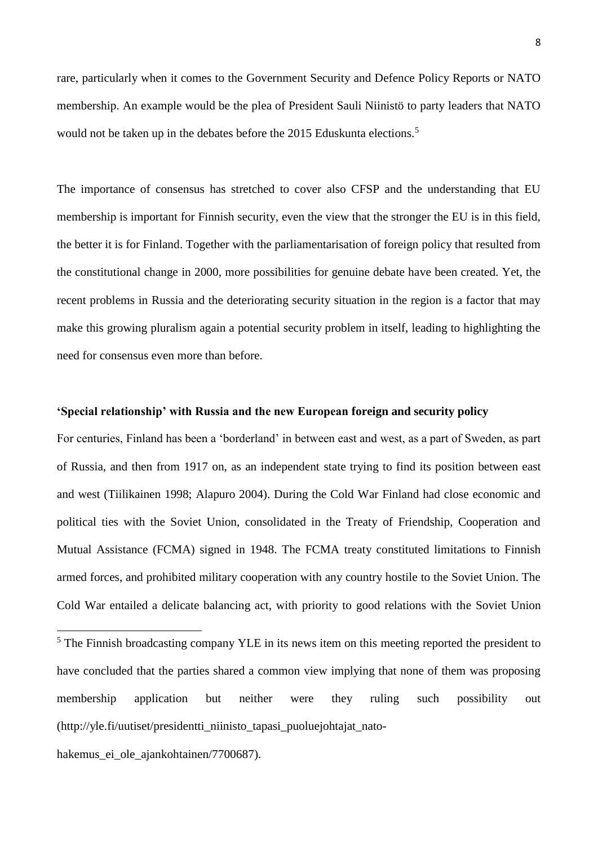rare, particularly when it comes to the Government Security and Defence Policy Reports or NATO membership. An example would be the plea of President Sauli Niinistö to party leaders that NATO would not be taken up in the debates before the 2015 Eduskunta elections.<sup>5</sup>

The importance of consensus has stretched to cover also CFSP and the understanding that EU membership is important for Finnish security, even the view that the stronger the EU is in this field, the better it is for Finland. Together with the parliamentarisation of foreign policy that resulted from the constitutional change in 2000, more possibilities for genuine debate have been created. Yet, the recent problems in Russia and the deteriorating security situation in the region is a factor that may make this growing pluralism again a potential security problem in itself, leading to highlighting the need for consensus even more than before.

## **'Special relationship' with Russia and the new European foreign and security policy**

For centuries, Finland has been a 'borderland' in between east and west, as a part of Sweden, as part of Russia, and then from 1917 on, as an independent state trying to find its position between east and west (Tiilikainen 1998; Alapuro 2004). During the Cold War Finland had close economic and political ties with the Soviet Union, consolidated in the Treaty of Friendship, Cooperation and Mutual Assistance (FCMA) signed in 1948. The FCMA treaty constituted limitations to Finnish armed forces, and prohibited military cooperation with any country hostile to the Soviet Union. The Cold War entailed a delicate balancing act, with priority to good relations with the Soviet Union

<sup>&</sup>lt;sup>5</sup> The Finnish broadcasting company YLE in its news item on this meeting reported the president to have concluded that the parties shared a common view implying that none of them was proposing membership application but neither were they ruling such possibility out (http://yle.fi/uutiset/presidentti\_niinisto\_tapasi\_puoluejohtajat\_nato-

hakemus ei ole ajankohtainen/7700687).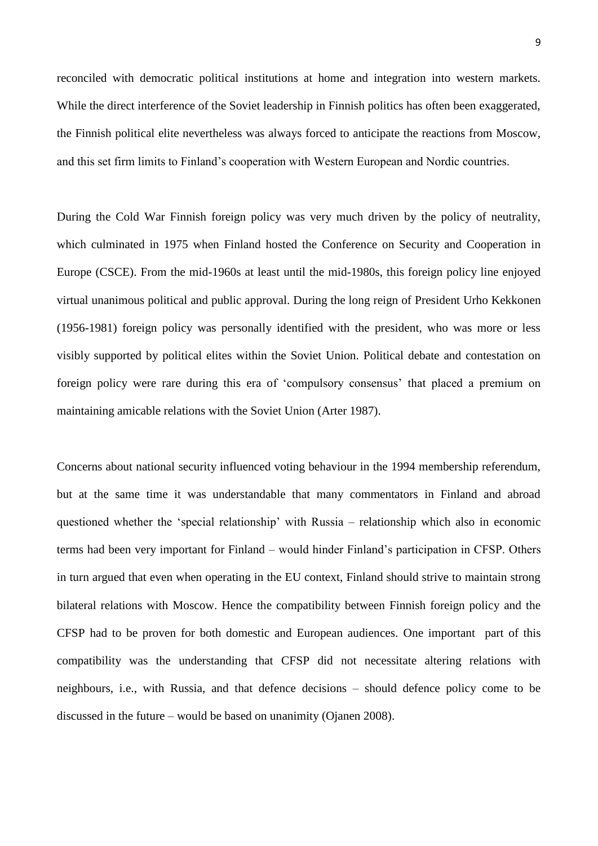reconciled with democratic political institutions at home and integration into western markets. While the direct interference of the Soviet leadership in Finnish politics has often been exaggerated, the Finnish political elite nevertheless was always forced to anticipate the reactions from Moscow, and this set firm limits to Finland's cooperation with Western European and Nordic countries.

During the Cold War Finnish foreign policy was very much driven by the policy of neutrality, which culminated in 1975 when Finland hosted the Conference on Security and Cooperation in Europe (CSCE). From the mid-1960s at least until the mid-1980s, this foreign policy line enjoyed virtual unanimous political and public approval. During the long reign of President Urho Kekkonen (1956-1981) foreign policy was personally identified with the president, who was more or less visibly supported by political elites within the Soviet Union. Political debate and contestation on foreign policy were rare during this era of 'compulsory consensus' that placed a premium on maintaining amicable relations with the Soviet Union (Arter 1987).

Concerns about national security influenced voting behaviour in the 1994 membership referendum, but at the same time it was understandable that many commentators in Finland and abroad questioned whether the 'special relationship' with Russia – relationship which also in economic terms had been very important for Finland – would hinder Finland's participation in CFSP. Others in turn argued that even when operating in the EU context, Finland should strive to maintain strong bilateral relations with Moscow. Hence the compatibility between Finnish foreign policy and the CFSP had to be proven for both domestic and European audiences. One important part of this compatibility was the understanding that CFSP did not necessitate altering relations with neighbours, i.e., with Russia, and that defence decisions – should defence policy come to be discussed in the future – would be based on unanimity (Ojanen 2008).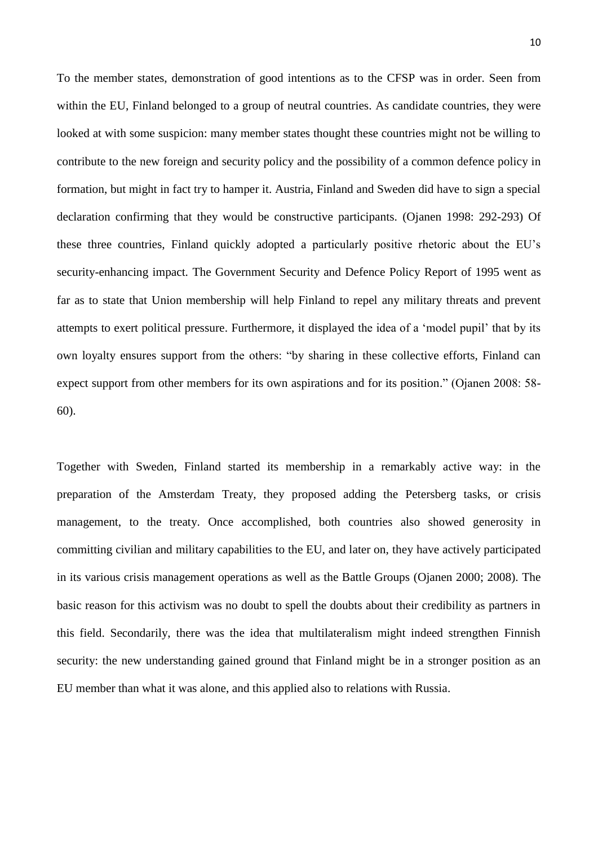To the member states, demonstration of good intentions as to the CFSP was in order. Seen from within the EU, Finland belonged to a group of neutral countries. As candidate countries, they were looked at with some suspicion: many member states thought these countries might not be willing to contribute to the new foreign and security policy and the possibility of a common defence policy in formation, but might in fact try to hamper it. Austria, Finland and Sweden did have to sign a special declaration confirming that they would be constructive participants. (Ojanen 1998: 292-293) Of these three countries, Finland quickly adopted a particularly positive rhetoric about the EU's security-enhancing impact. The Government Security and Defence Policy Report of 1995 went as far as to state that Union membership will help Finland to repel any military threats and prevent attempts to exert political pressure. Furthermore, it displayed the idea of a 'model pupil' that by its own loyalty ensures support from the others: "by sharing in these collective efforts, Finland can expect support from other members for its own aspirations and for its position." (Ojanen 2008: 58- 60).

Together with Sweden, Finland started its membership in a remarkably active way: in the preparation of the Amsterdam Treaty, they proposed adding the Petersberg tasks, or crisis management, to the treaty. Once accomplished, both countries also showed generosity in committing civilian and military capabilities to the EU, and later on, they have actively participated in its various crisis management operations as well as the Battle Groups (Ojanen 2000; 2008). The basic reason for this activism was no doubt to spell the doubts about their credibility as partners in this field. Secondarily, there was the idea that multilateralism might indeed strengthen Finnish security: the new understanding gained ground that Finland might be in a stronger position as an EU member than what it was alone, and this applied also to relations with Russia.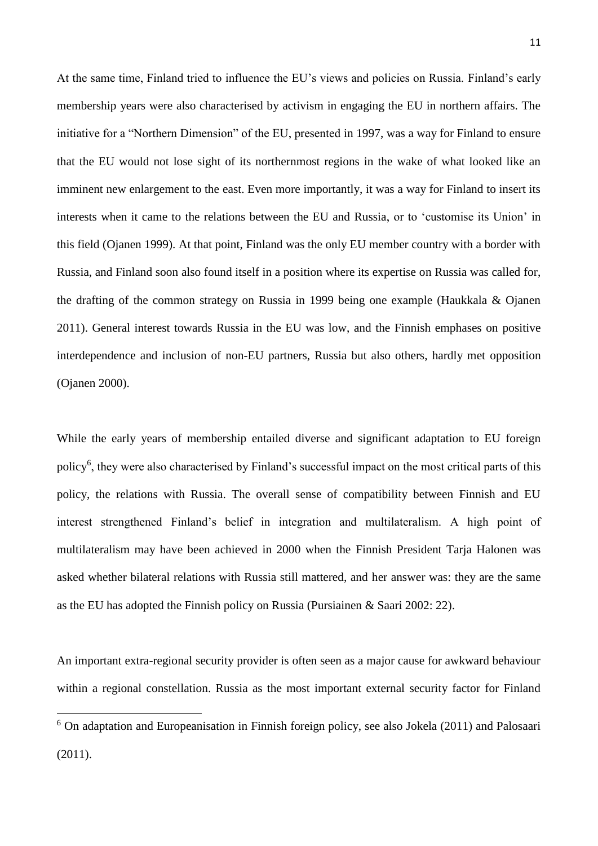At the same time, Finland tried to influence the EU's views and policies on Russia. Finland's early membership years were also characterised by activism in engaging the EU in northern affairs. The initiative for a "Northern Dimension" of the EU, presented in 1997, was a way for Finland to ensure that the EU would not lose sight of its northernmost regions in the wake of what looked like an imminent new enlargement to the east. Even more importantly, it was a way for Finland to insert its interests when it came to the relations between the EU and Russia, or to 'customise its Union' in this field (Ojanen 1999). At that point, Finland was the only EU member country with a border with Russia, and Finland soon also found itself in a position where its expertise on Russia was called for, the drafting of the common strategy on Russia in 1999 being one example (Haukkala & Ojanen 2011). General interest towards Russia in the EU was low, and the Finnish emphases on positive interdependence and inclusion of non-EU partners, Russia but also others, hardly met opposition (Ojanen 2000).

While the early years of membership entailed diverse and significant adaptation to EU foreign policy<sup>6</sup>, they were also characterised by Finland's successful impact on the most critical parts of this policy, the relations with Russia. The overall sense of compatibility between Finnish and EU interest strengthened Finland's belief in integration and multilateralism. A high point of multilateralism may have been achieved in 2000 when the Finnish President Tarja Halonen was asked whether bilateral relations with Russia still mattered, and her answer was: they are the same as the EU has adopted the Finnish policy on Russia (Pursiainen & Saari 2002: 22).

An important extra-regional security provider is often seen as a major cause for awkward behaviour within a regional constellation. Russia as the most important external security factor for Finland

1

<sup>&</sup>lt;sup>6</sup> On adaptation and Europeanisation in Finnish foreign policy, see also Jokela (2011) and Palosaari  $(2011)$ .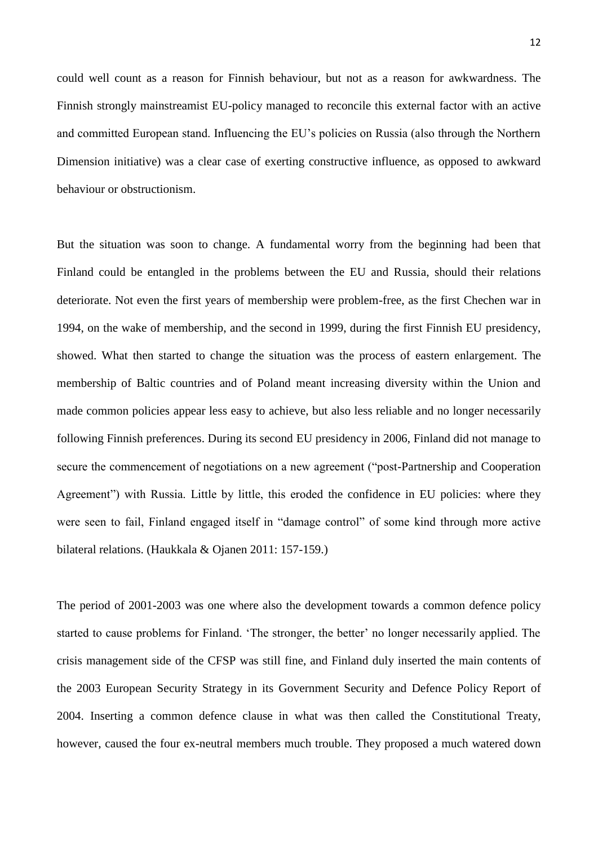could well count as a reason for Finnish behaviour, but not as a reason for awkwardness. The Finnish strongly mainstreamist EU-policy managed to reconcile this external factor with an active and committed European stand. Influencing the EU's policies on Russia (also through the Northern Dimension initiative) was a clear case of exerting constructive influence, as opposed to awkward behaviour or obstructionism.

But the situation was soon to change. A fundamental worry from the beginning had been that Finland could be entangled in the problems between the EU and Russia, should their relations deteriorate. Not even the first years of membership were problem-free, as the first Chechen war in 1994, on the wake of membership, and the second in 1999, during the first Finnish EU presidency, showed. What then started to change the situation was the process of eastern enlargement. The membership of Baltic countries and of Poland meant increasing diversity within the Union and made common policies appear less easy to achieve, but also less reliable and no longer necessarily following Finnish preferences. During its second EU presidency in 2006, Finland did not manage to secure the commencement of negotiations on a new agreement ("post-Partnership and Cooperation Agreement") with Russia. Little by little, this eroded the confidence in EU policies: where they were seen to fail, Finland engaged itself in "damage control" of some kind through more active bilateral relations. (Haukkala & Ojanen 2011: 157-159.)

The period of 2001-2003 was one where also the development towards a common defence policy started to cause problems for Finland. 'The stronger, the better' no longer necessarily applied. The crisis management side of the CFSP was still fine, and Finland duly inserted the main contents of the 2003 European Security Strategy in its Government Security and Defence Policy Report of 2004. Inserting a common defence clause in what was then called the Constitutional Treaty, however, caused the four ex-neutral members much trouble. They proposed a much watered down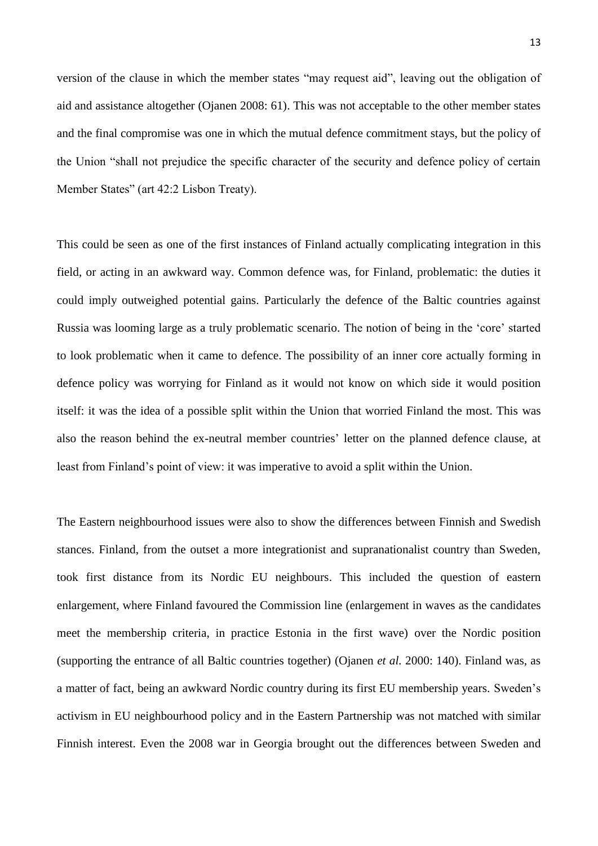version of the clause in which the member states "may request aid", leaving out the obligation of aid and assistance altogether (Ojanen 2008: 61). This was not acceptable to the other member states and the final compromise was one in which the mutual defence commitment stays, but the policy of the Union "shall not prejudice the specific character of the security and defence policy of certain Member States" (art 42:2 Lisbon Treaty).

This could be seen as one of the first instances of Finland actually complicating integration in this field, or acting in an awkward way. Common defence was, for Finland, problematic: the duties it could imply outweighed potential gains. Particularly the defence of the Baltic countries against Russia was looming large as a truly problematic scenario. The notion of being in the 'core' started to look problematic when it came to defence. The possibility of an inner core actually forming in defence policy was worrying for Finland as it would not know on which side it would position itself: it was the idea of a possible split within the Union that worried Finland the most. This was also the reason behind the ex-neutral member countries' letter on the planned defence clause, at least from Finland's point of view: it was imperative to avoid a split within the Union.

The Eastern neighbourhood issues were also to show the differences between Finnish and Swedish stances. Finland, from the outset a more integrationist and supranationalist country than Sweden, took first distance from its Nordic EU neighbours. This included the question of eastern enlargement, where Finland favoured the Commission line (enlargement in waves as the candidates meet the membership criteria, in practice Estonia in the first wave) over the Nordic position (supporting the entrance of all Baltic countries together) (Ojanen *et al.* 2000: 140). Finland was, as a matter of fact, being an awkward Nordic country during its first EU membership years. Sweden's activism in EU neighbourhood policy and in the Eastern Partnership was not matched with similar Finnish interest. Even the 2008 war in Georgia brought out the differences between Sweden and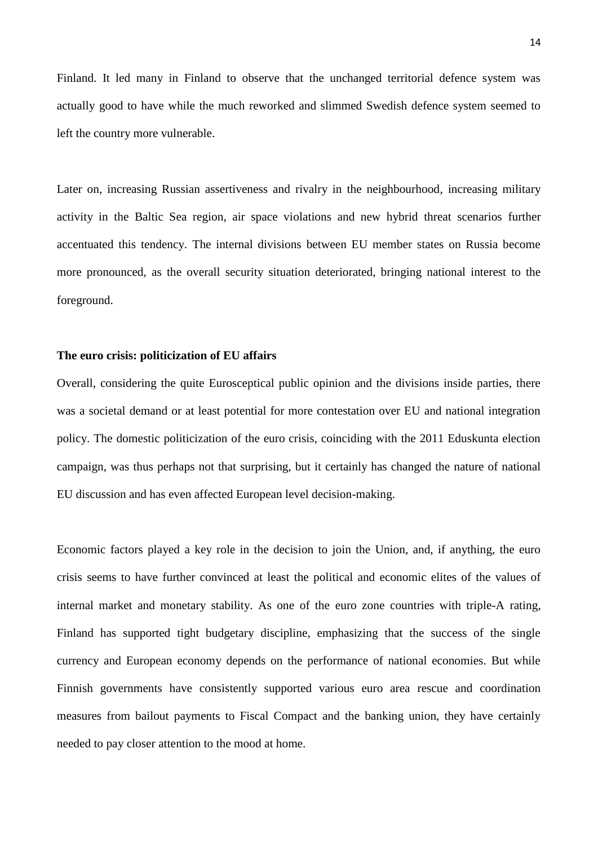Finland. It led many in Finland to observe that the unchanged territorial defence system was actually good to have while the much reworked and slimmed Swedish defence system seemed to left the country more vulnerable.

Later on, increasing Russian assertiveness and rivalry in the neighbourhood, increasing military activity in the Baltic Sea region, air space violations and new hybrid threat scenarios further accentuated this tendency. The internal divisions between EU member states on Russia become more pronounced, as the overall security situation deteriorated, bringing national interest to the foreground.

#### **The euro crisis: politicization of EU affairs**

Overall, considering the quite Eurosceptical public opinion and the divisions inside parties, there was a societal demand or at least potential for more contestation over EU and national integration policy. The domestic politicization of the euro crisis, coinciding with the 2011 Eduskunta election campaign, was thus perhaps not that surprising, but it certainly has changed the nature of national EU discussion and has even affected European level decision-making.

Economic factors played a key role in the decision to join the Union, and, if anything, the euro crisis seems to have further convinced at least the political and economic elites of the values of internal market and monetary stability. As one of the euro zone countries with triple-A rating, Finland has supported tight budgetary discipline, emphasizing that the success of the single currency and European economy depends on the performance of national economies. But while Finnish governments have consistently supported various euro area rescue and coordination measures from bailout payments to Fiscal Compact and the banking union, they have certainly needed to pay closer attention to the mood at home.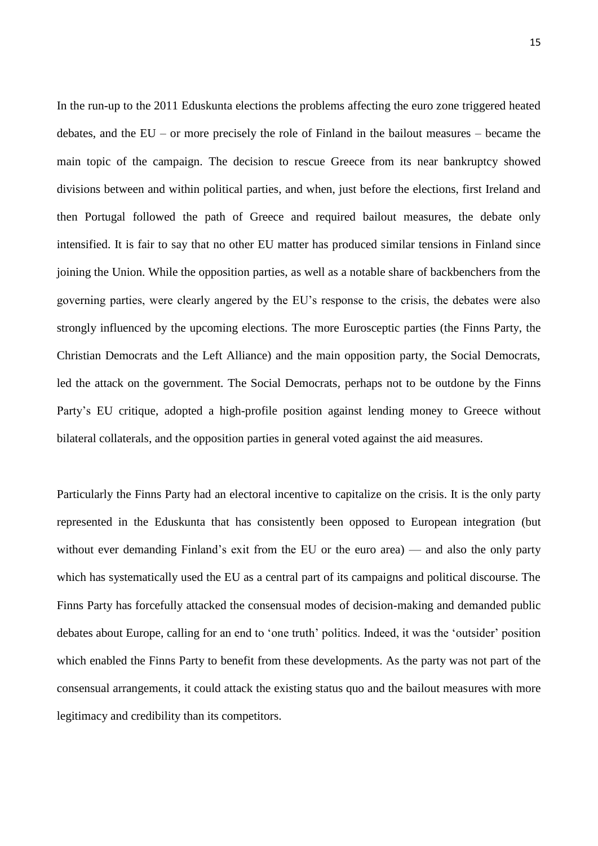In the run-up to the 2011 Eduskunta elections the problems affecting the euro zone triggered heated debates, and the EU – or more precisely the role of Finland in the bailout measures – became the main topic of the campaign. The decision to rescue Greece from its near bankruptcy showed divisions between and within political parties, and when, just before the elections, first Ireland and then Portugal followed the path of Greece and required bailout measures, the debate only intensified. It is fair to say that no other EU matter has produced similar tensions in Finland since joining the Union. While the opposition parties, as well as a notable share of backbenchers from the governing parties, were clearly angered by the EU's response to the crisis, the debates were also strongly influenced by the upcoming elections. The more Eurosceptic parties (the Finns Party, the Christian Democrats and the Left Alliance) and the main opposition party, the Social Democrats, led the attack on the government. The Social Democrats, perhaps not to be outdone by the Finns Party's EU critique, adopted a high-profile position against lending money to Greece without bilateral collaterals, and the opposition parties in general voted against the aid measures.

Particularly the Finns Party had an electoral incentive to capitalize on the crisis. It is the only party represented in the Eduskunta that has consistently been opposed to European integration (but without ever demanding Finland's exit from the EU or the euro area) — and also the only party which has systematically used the EU as a central part of its campaigns and political discourse. The Finns Party has forcefully attacked the consensual modes of decision-making and demanded public debates about Europe, calling for an end to 'one truth' politics. Indeed, it was the 'outsider' position which enabled the Finns Party to benefit from these developments. As the party was not part of the consensual arrangements, it could attack the existing status quo and the bailout measures with more legitimacy and credibility than its competitors.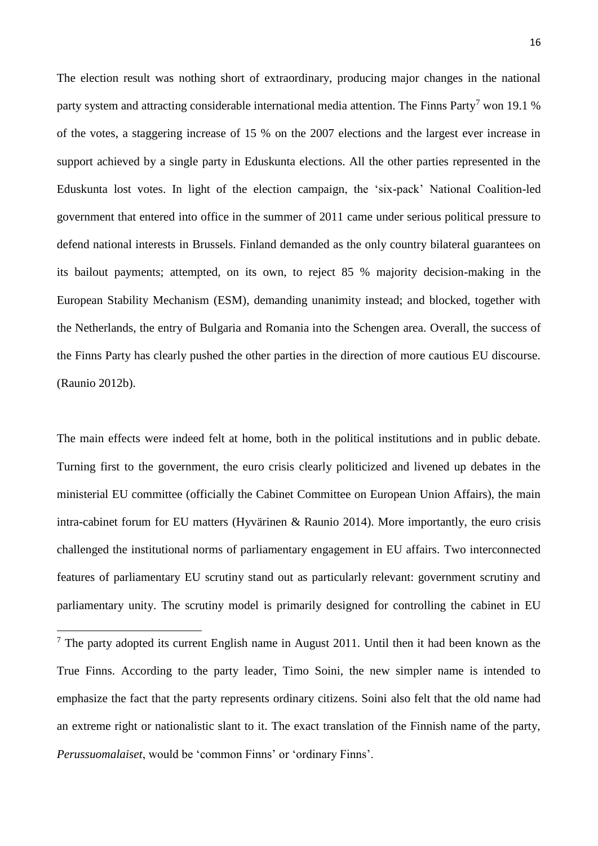The election result was nothing short of extraordinary, producing major changes in the national party system and attracting considerable international media attention. The Finns Party<sup>7</sup> won 19.1 % of the votes, a staggering increase of 15 % on the 2007 elections and the largest ever increase in support achieved by a single party in Eduskunta elections. All the other parties represented in the Eduskunta lost votes. In light of the election campaign, the 'six-pack' National Coalition-led government that entered into office in the summer of 2011 came under serious political pressure to defend national interests in Brussels. Finland demanded as the only country bilateral guarantees on its bailout payments; attempted, on its own, to reject 85 % majority decision-making in the European Stability Mechanism (ESM), demanding unanimity instead; and blocked, together with the Netherlands, the entry of Bulgaria and Romania into the Schengen area. Overall, the success of the Finns Party has clearly pushed the other parties in the direction of more cautious EU discourse. (Raunio 2012b).

The main effects were indeed felt at home, both in the political institutions and in public debate. Turning first to the government, the euro crisis clearly politicized and livened up debates in the ministerial EU committee (officially the Cabinet Committee on European Union Affairs), the main intra-cabinet forum for EU matters (Hyvärinen & Raunio 2014). More importantly, the euro crisis challenged the institutional norms of parliamentary engagement in EU affairs. Two interconnected features of parliamentary EU scrutiny stand out as particularly relevant: government scrutiny and parliamentary unity. The scrutiny model is primarily designed for controlling the cabinet in EU

 $<sup>7</sup>$  The party adopted its current English name in August 2011. Until then it had been known as the</sup> True Finns. According to the party leader, Timo Soini, the new simpler name is intended to emphasize the fact that the party represents ordinary citizens. Soini also felt that the old name had an extreme right or nationalistic slant to it. The exact translation of the Finnish name of the party, *Perussuomalaiset*, would be 'common Finns' or 'ordinary Finns'.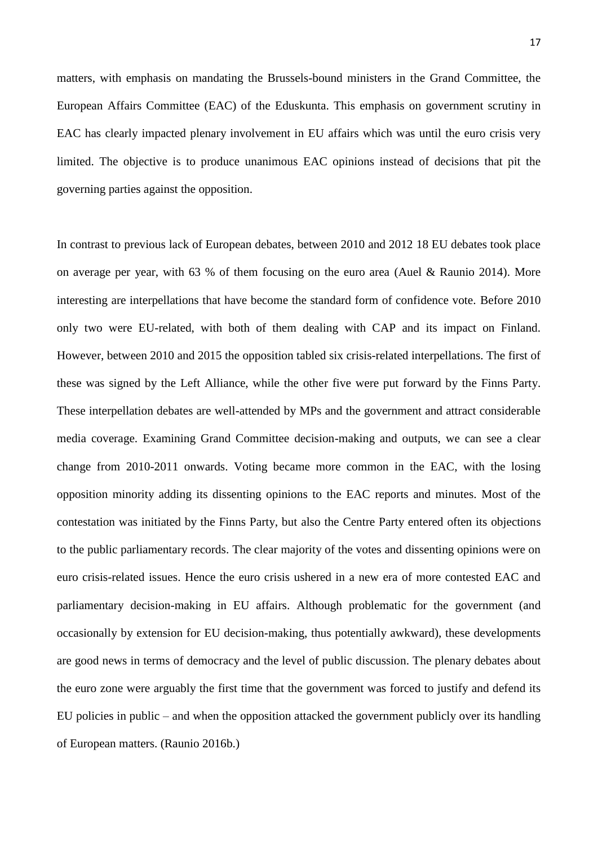matters, with emphasis on mandating the Brussels-bound ministers in the Grand Committee, the European Affairs Committee (EAC) of the Eduskunta. This emphasis on government scrutiny in EAC has clearly impacted plenary involvement in EU affairs which was until the euro crisis very limited. The objective is to produce unanimous EAC opinions instead of decisions that pit the governing parties against the opposition.

In contrast to previous lack of European debates, between 2010 and 2012 18 EU debates took place on average per year, with 63 % of them focusing on the euro area (Auel & Raunio 2014). More interesting are interpellations that have become the standard form of confidence vote. Before 2010 only two were EU-related, with both of them dealing with CAP and its impact on Finland. However, between 2010 and 2015 the opposition tabled six crisis-related interpellations. The first of these was signed by the Left Alliance, while the other five were put forward by the Finns Party. These interpellation debates are well-attended by MPs and the government and attract considerable media coverage. Examining Grand Committee decision-making and outputs, we can see a clear change from 2010-2011 onwards. Voting became more common in the EAC, with the losing opposition minority adding its dissenting opinions to the EAC reports and minutes. Most of the contestation was initiated by the Finns Party, but also the Centre Party entered often its objections to the public parliamentary records. The clear majority of the votes and dissenting opinions were on euro crisis-related issues. Hence the euro crisis ushered in a new era of more contested EAC and parliamentary decision-making in EU affairs. Although problematic for the government (and occasionally by extension for EU decision-making, thus potentially awkward), these developments are good news in terms of democracy and the level of public discussion. The plenary debates about the euro zone were arguably the first time that the government was forced to justify and defend its EU policies in public – and when the opposition attacked the government publicly over its handling of European matters. (Raunio 2016b.)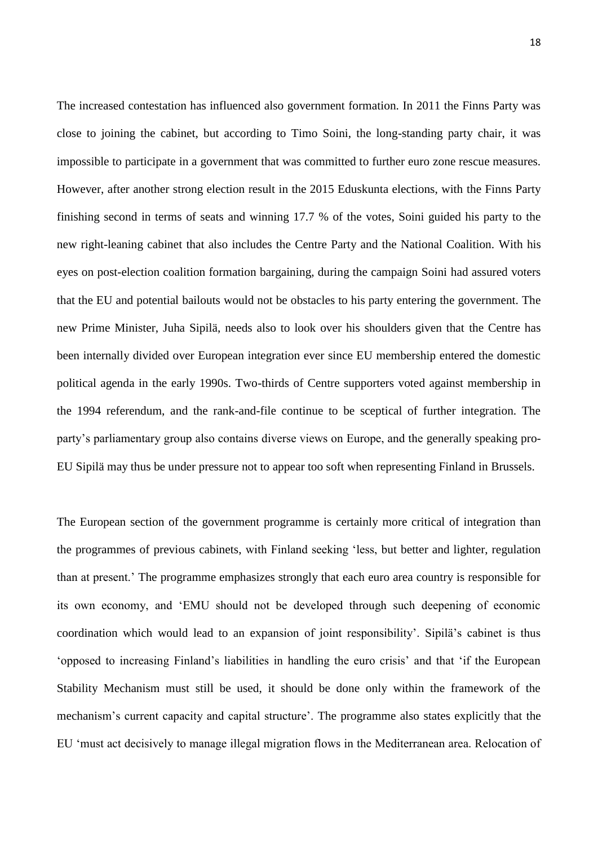The increased contestation has influenced also government formation. In 2011 the Finns Party was close to joining the cabinet, but according to Timo Soini, the long-standing party chair, it was impossible to participate in a government that was committed to further euro zone rescue measures. However, after another strong election result in the 2015 Eduskunta elections, with the Finns Party finishing second in terms of seats and winning 17.7 % of the votes, Soini guided his party to the new right-leaning cabinet that also includes the Centre Party and the National Coalition. With his eyes on post-election coalition formation bargaining, during the campaign Soini had assured voters that the EU and potential bailouts would not be obstacles to his party entering the government. The new Prime Minister, Juha Sipilä, needs also to look over his shoulders given that the Centre has been internally divided over European integration ever since EU membership entered the domestic political agenda in the early 1990s. Two-thirds of Centre supporters voted against membership in the 1994 referendum, and the rank-and-file continue to be sceptical of further integration. The party's parliamentary group also contains diverse views on Europe, and the generally speaking pro-EU Sipilä may thus be under pressure not to appear too soft when representing Finland in Brussels.

The European section of the government programme is certainly more critical of integration than the programmes of previous cabinets, with Finland seeking 'less, but better and lighter, regulation than at present.' The programme emphasizes strongly that each euro area country is responsible for its own economy, and 'EMU should not be developed through such deepening of economic coordination which would lead to an expansion of joint responsibility'. Sipilä's cabinet is thus 'opposed to increasing Finland's liabilities in handling the euro crisis' and that 'if the European Stability Mechanism must still be used, it should be done only within the framework of the mechanism's current capacity and capital structure'. The programme also states explicitly that the EU 'must act decisively to manage illegal migration flows in the Mediterranean area. Relocation of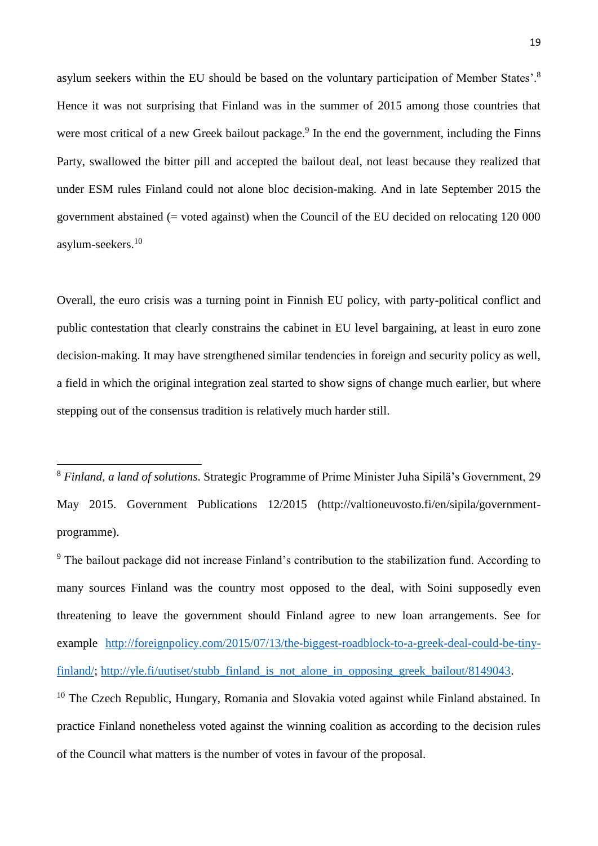asylum seekers within the EU should be based on the voluntary participation of Member States'.<sup>8</sup> Hence it was not surprising that Finland was in the summer of 2015 among those countries that were most critical of a new Greek bailout package.<sup>9</sup> In the end the government, including the Finns Party, swallowed the bitter pill and accepted the bailout deal, not least because they realized that under ESM rules Finland could not alone bloc decision-making. And in late September 2015 the government abstained (= voted against) when the Council of the EU decided on relocating 120 000 asylum-seekers.<sup>10</sup>

Overall, the euro crisis was a turning point in Finnish EU policy, with party-political conflict and public contestation that clearly constrains the cabinet in EU level bargaining, at least in euro zone decision-making. It may have strengthened similar tendencies in foreign and security policy as well, a field in which the original integration zeal started to show signs of change much earlier, but where stepping out of the consensus tradition is relatively much harder still.

<sup>8</sup> *Finland, a land of solutions*. Strategic Programme of Prime Minister Juha Sipilä's Government, 29 May 2015. Government Publications 12/2015 (http://valtioneuvosto.fi/en/sipila/governmentprogramme).

<sup>&</sup>lt;sup>9</sup> The bailout package did not increase Finland's contribution to the stabilization fund. According to many sources Finland was the country most opposed to the deal, with Soini supposedly even threatening to leave the government should Finland agree to new loan arrangements. See for example [http://foreignpolicy.com/2015/07/13/the-biggest-roadblock-to-a-greek-deal-could-be-tiny](http://foreignpolicy.com/2015/07/13/the-biggest-roadblock-to-a-greek-deal-could-be-tiny-finland/)[finland/;](http://foreignpolicy.com/2015/07/13/the-biggest-roadblock-to-a-greek-deal-could-be-tiny-finland/) [http://yle.fi/uutiset/stubb\\_finland\\_is\\_not\\_alone\\_in\\_opposing\\_greek\\_bailout/8149043.](http://yle.fi/uutiset/stubb_finland_is_not_alone_in_opposing_greek_bailout/8149043)

 $10$  The Czech Republic, Hungary, Romania and Slovakia voted against while Finland abstained. In practice Finland nonetheless voted against the winning coalition as according to the decision rules of the Council what matters is the number of votes in favour of the proposal.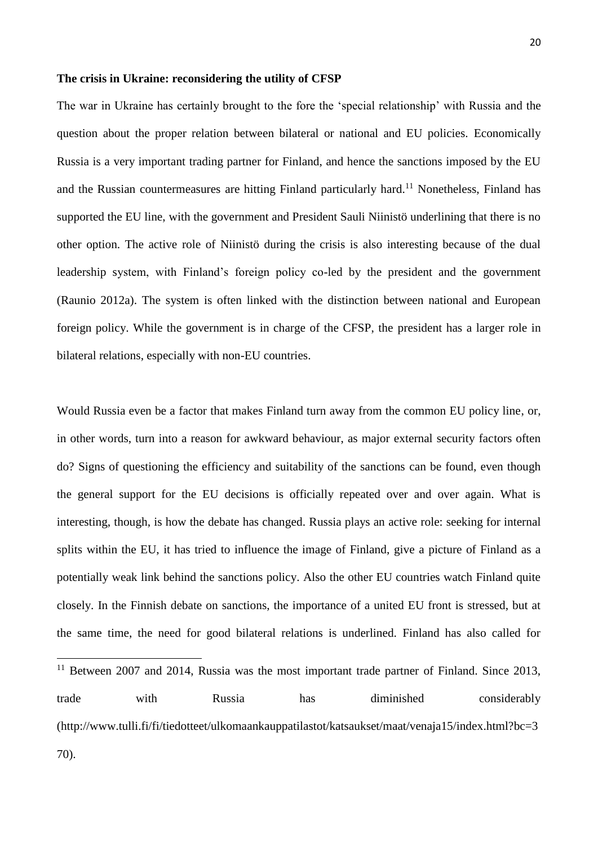### **The crisis in Ukraine: reconsidering the utility of CFSP**

The war in Ukraine has certainly brought to the fore the 'special relationship' with Russia and the question about the proper relation between bilateral or national and EU policies. Economically Russia is a very important trading partner for Finland, and hence the sanctions imposed by the EU and the Russian countermeasures are hitting Finland particularly hard.<sup>11</sup> Nonetheless, Finland has supported the EU line, with the government and President Sauli Niinistö underlining that there is no other option. The active role of Niinistö during the crisis is also interesting because of the dual leadership system, with Finland's foreign policy co-led by the president and the government (Raunio 2012a). The system is often linked with the distinction between national and European foreign policy. While the government is in charge of the CFSP, the president has a larger role in bilateral relations, especially with non-EU countries.

Would Russia even be a factor that makes Finland turn away from the common EU policy line, or, in other words, turn into a reason for awkward behaviour, as major external security factors often do? Signs of questioning the efficiency and suitability of the sanctions can be found, even though the general support for the EU decisions is officially repeated over and over again. What is interesting, though, is how the debate has changed. Russia plays an active role: seeking for internal splits within the EU, it has tried to influence the image of Finland, give a picture of Finland as a potentially weak link behind the sanctions policy. Also the other EU countries watch Finland quite closely. In the Finnish debate on sanctions, the importance of a united EU front is stressed, but at the same time, the need for good bilateral relations is underlined. Finland has also called for

<sup>&</sup>lt;sup>11</sup> Between 2007 and 2014, Russia was the most important trade partner of Finland. Since 2013, trade with Russia has diminished considerably (http://www.tulli.fi/fi/tiedotteet/ulkomaankauppatilastot/katsaukset/maat/venaja15/index.html?bc=3 70).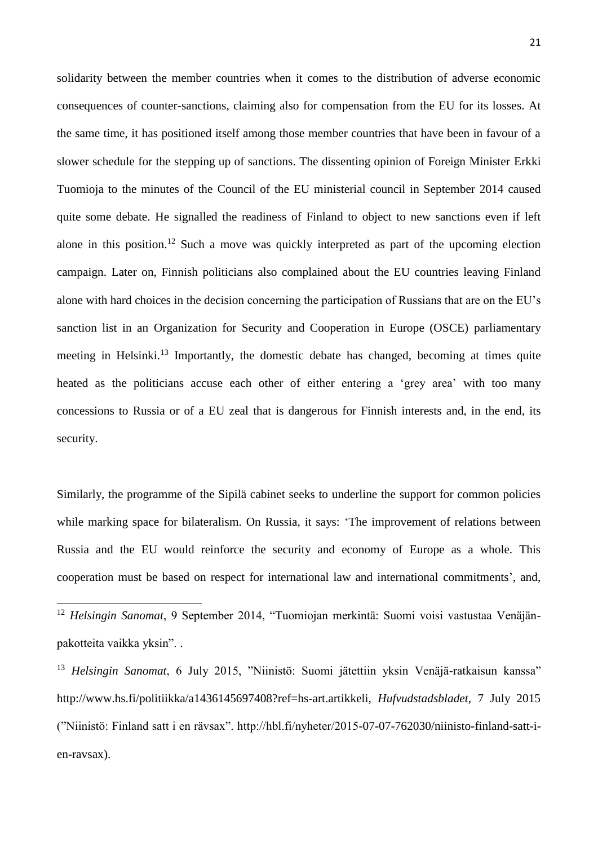solidarity between the member countries when it comes to the distribution of adverse economic consequences of counter-sanctions, claiming also for compensation from the EU for its losses. At the same time, it has positioned itself among those member countries that have been in favour of a slower schedule for the stepping up of sanctions. The dissenting opinion of Foreign Minister Erkki Tuomioja to the minutes of the Council of the EU ministerial council in September 2014 caused quite some debate. He signalled the readiness of Finland to object to new sanctions even if left alone in this position.<sup>12</sup> Such a move was quickly interpreted as part of the upcoming election campaign. Later on, Finnish politicians also complained about the EU countries leaving Finland alone with hard choices in the decision concerning the participation of Russians that are on the EU's sanction list in an Organization for Security and Cooperation in Europe (OSCE) parliamentary meeting in Helsinki.<sup>13</sup> Importantly, the domestic debate has changed, becoming at times quite heated as the politicians accuse each other of either entering a 'grey area' with too many concessions to Russia or of a EU zeal that is dangerous for Finnish interests and, in the end, its security.

Similarly, the programme of the Sipilä cabinet seeks to underline the support for common policies while marking space for bilateralism. On Russia, it says: 'The improvement of relations between Russia and the EU would reinforce the security and economy of Europe as a whole. This cooperation must be based on respect for international law and international commitments', and,

<sup>12</sup> *Helsingin Sanomat*, 9 September 2014, "Tuomiojan merkintä: Suomi voisi vastustaa Venäjänpakotteita vaikka yksin". .

<sup>13</sup> *Helsingin Sanomat*, 6 July 2015, "Niinistö: Suomi jätettiin yksin Venäjä-ratkaisun kanssa" http://www.hs.fi/politiikka/a1436145697408?ref=hs-art.artikkeli, *Hufvudstadsbladet*, 7 July 2015 ("Niinistö: Finland satt i en rävsax". http://hbl.fi/nyheter/2015-07-07-762030/niinisto-finland-satt-ien-ravsax).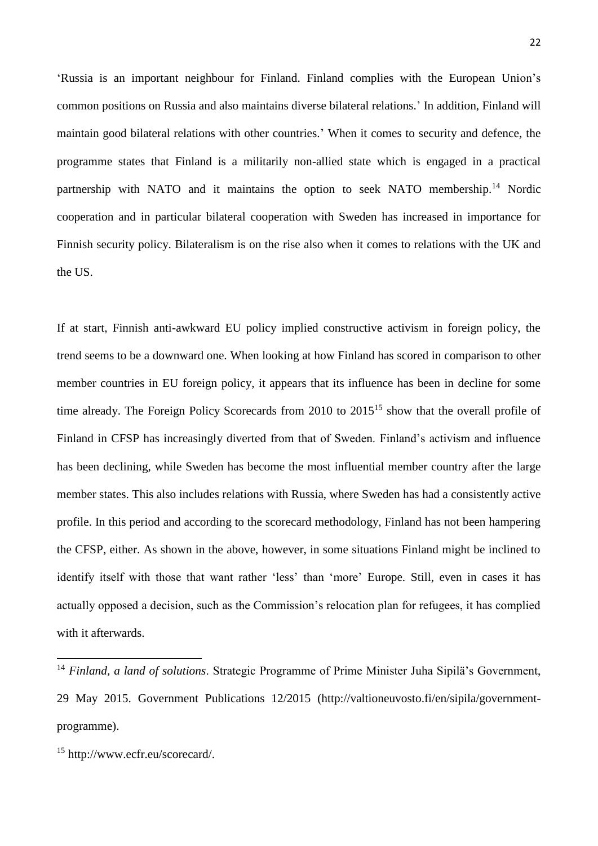'Russia is an important neighbour for Finland. Finland complies with the European Union's common positions on Russia and also maintains diverse bilateral relations.' In addition, Finland will maintain good bilateral relations with other countries.' When it comes to security and defence, the programme states that Finland is a militarily non-allied state which is engaged in a practical partnership with NATO and it maintains the option to seek NATO membership.<sup>14</sup> Nordic cooperation and in particular bilateral cooperation with Sweden has increased in importance for Finnish security policy. Bilateralism is on the rise also when it comes to relations with the UK and the US.

If at start, Finnish anti-awkward EU policy implied constructive activism in foreign policy, the trend seems to be a downward one. When looking at how Finland has scored in comparison to other member countries in EU foreign policy, it appears that its influence has been in decline for some time already. The Foreign Policy Scorecards from 2010 to 2015<sup>15</sup> show that the overall profile of Finland in CFSP has increasingly diverted from that of Sweden. Finland's activism and influence has been declining, while Sweden has become the most influential member country after the large member states. This also includes relations with Russia, where Sweden has had a consistently active profile. In this period and according to the scorecard methodology, Finland has not been hampering the CFSP, either. As shown in the above, however, in some situations Finland might be inclined to identify itself with those that want rather 'less' than 'more' Europe. Still, even in cases it has actually opposed a decision, such as the Commission's relocation plan for refugees, it has complied with it afterwards.

<sup>14</sup> *Finland, a land of solutions*. Strategic Programme of Prime Minister Juha Sipilä's Government, 29 May 2015. Government Publications 12/2015 (http://valtioneuvosto.fi/en/sipila/governmentprogramme).

<sup>15</sup> http://www.ecfr.eu/scorecard/.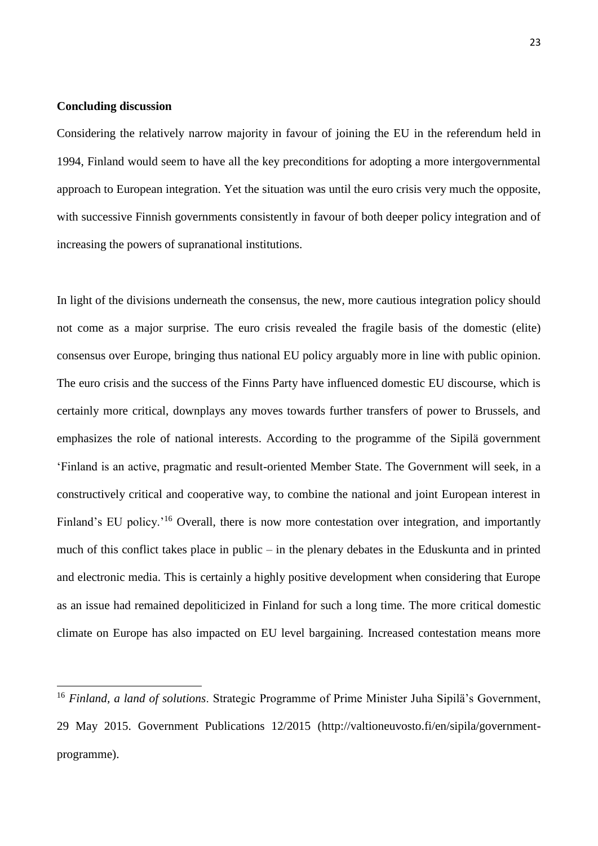# **Concluding discussion**

**.** 

Considering the relatively narrow majority in favour of joining the EU in the referendum held in 1994, Finland would seem to have all the key preconditions for adopting a more intergovernmental approach to European integration. Yet the situation was until the euro crisis very much the opposite, with successive Finnish governments consistently in favour of both deeper policy integration and of increasing the powers of supranational institutions.

In light of the divisions underneath the consensus, the new, more cautious integration policy should not come as a major surprise. The euro crisis revealed the fragile basis of the domestic (elite) consensus over Europe, bringing thus national EU policy arguably more in line with public opinion. The euro crisis and the success of the Finns Party have influenced domestic EU discourse, which is certainly more critical, downplays any moves towards further transfers of power to Brussels, and emphasizes the role of national interests. According to the programme of the Sipilä government 'Finland is an active, pragmatic and result-oriented Member State. The Government will seek, in a constructively critical and cooperative way, to combine the national and joint European interest in Finland's EU policy.<sup>16</sup> Overall, there is now more contestation over integration, and importantly much of this conflict takes place in public – in the plenary debates in the Eduskunta and in printed and electronic media. This is certainly a highly positive development when considering that Europe as an issue had remained depoliticized in Finland for such a long time. The more critical domestic climate on Europe has also impacted on EU level bargaining. Increased contestation means more

<sup>16</sup> *Finland, a land of solutions*. Strategic Programme of Prime Minister Juha Sipilä's Government, 29 May 2015. Government Publications 12/2015 (http://valtioneuvosto.fi/en/sipila/governmentprogramme).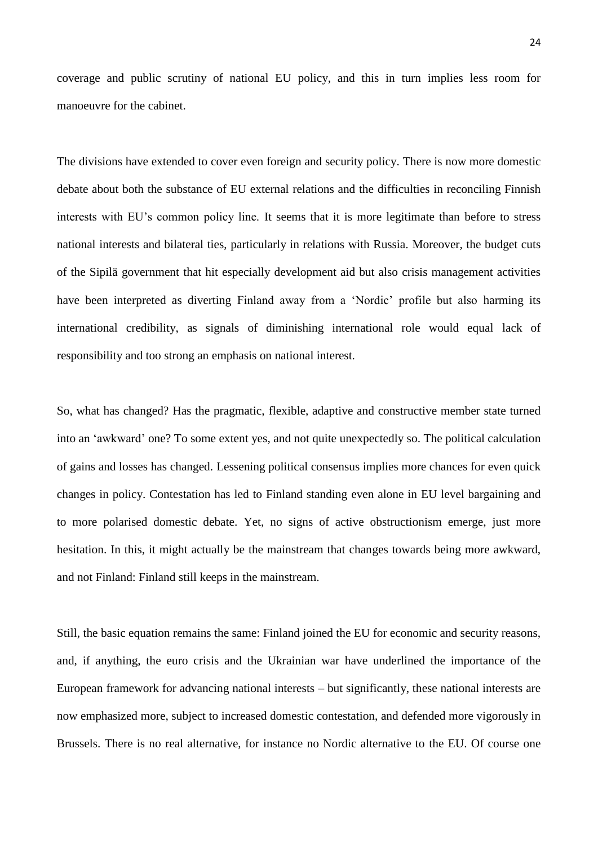coverage and public scrutiny of national EU policy, and this in turn implies less room for manoeuvre for the cabinet.

The divisions have extended to cover even foreign and security policy. There is now more domestic debate about both the substance of EU external relations and the difficulties in reconciling Finnish interests with EU's common policy line. It seems that it is more legitimate than before to stress national interests and bilateral ties, particularly in relations with Russia. Moreover, the budget cuts of the Sipilä government that hit especially development aid but also crisis management activities have been interpreted as diverting Finland away from a 'Nordic' profile but also harming its international credibility, as signals of diminishing international role would equal lack of responsibility and too strong an emphasis on national interest.

So, what has changed? Has the pragmatic, flexible, adaptive and constructive member state turned into an 'awkward' one? To some extent yes, and not quite unexpectedly so. The political calculation of gains and losses has changed. Lessening political consensus implies more chances for even quick changes in policy. Contestation has led to Finland standing even alone in EU level bargaining and to more polarised domestic debate. Yet, no signs of active obstructionism emerge, just more hesitation. In this, it might actually be the mainstream that changes towards being more awkward, and not Finland: Finland still keeps in the mainstream.

Still, the basic equation remains the same: Finland joined the EU for economic and security reasons, and, if anything, the euro crisis and the Ukrainian war have underlined the importance of the European framework for advancing national interests – but significantly, these national interests are now emphasized more, subject to increased domestic contestation, and defended more vigorously in Brussels. There is no real alternative, for instance no Nordic alternative to the EU. Of course one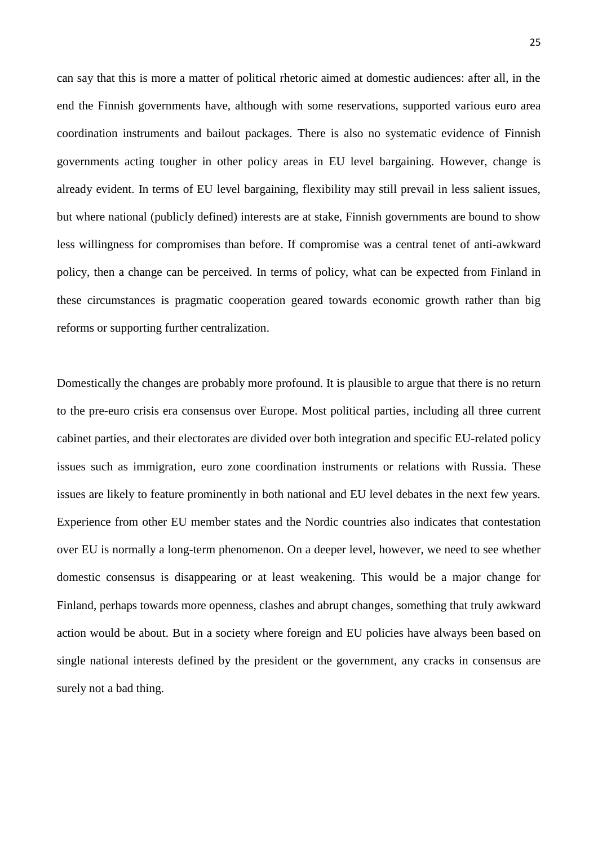can say that this is more a matter of political rhetoric aimed at domestic audiences: after all, in the end the Finnish governments have, although with some reservations, supported various euro area coordination instruments and bailout packages. There is also no systematic evidence of Finnish governments acting tougher in other policy areas in EU level bargaining. However, change is already evident. In terms of EU level bargaining, flexibility may still prevail in less salient issues, but where national (publicly defined) interests are at stake, Finnish governments are bound to show less willingness for compromises than before. If compromise was a central tenet of anti-awkward policy, then a change can be perceived. In terms of policy, what can be expected from Finland in these circumstances is pragmatic cooperation geared towards economic growth rather than big reforms or supporting further centralization.

Domestically the changes are probably more profound. It is plausible to argue that there is no return to the pre-euro crisis era consensus over Europe. Most political parties, including all three current cabinet parties, and their electorates are divided over both integration and specific EU-related policy issues such as immigration, euro zone coordination instruments or relations with Russia. These issues are likely to feature prominently in both national and EU level debates in the next few years. Experience from other EU member states and the Nordic countries also indicates that contestation over EU is normally a long-term phenomenon. On a deeper level, however, we need to see whether domestic consensus is disappearing or at least weakening. This would be a major change for Finland, perhaps towards more openness, clashes and abrupt changes, something that truly awkward action would be about. But in a society where foreign and EU policies have always been based on single national interests defined by the president or the government, any cracks in consensus are surely not a bad thing.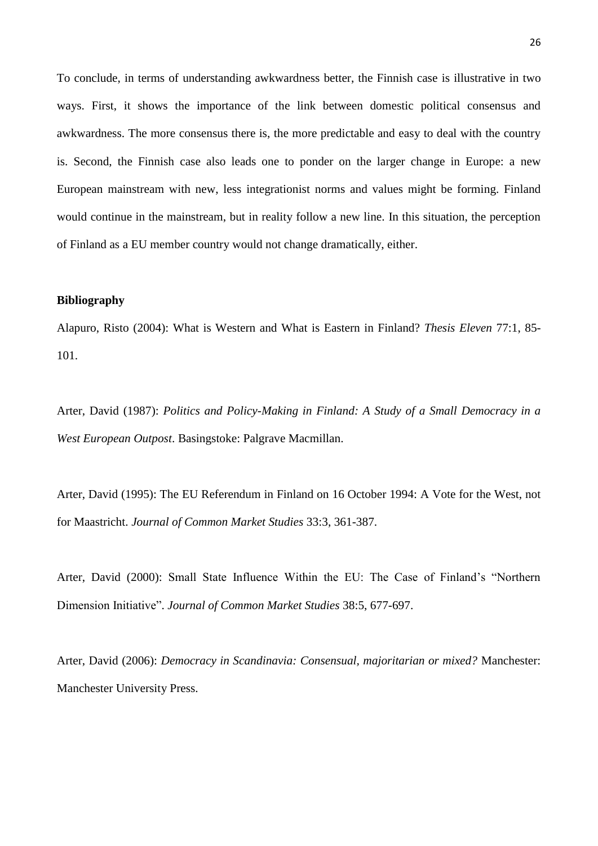To conclude, in terms of understanding awkwardness better, the Finnish case is illustrative in two ways. First, it shows the importance of the link between domestic political consensus and awkwardness. The more consensus there is, the more predictable and easy to deal with the country is. Second, the Finnish case also leads one to ponder on the larger change in Europe: a new European mainstream with new, less integrationist norms and values might be forming. Finland would continue in the mainstream, but in reality follow a new line. In this situation, the perception of Finland as a EU member country would not change dramatically, either.

## **Bibliography**

Alapuro, Risto (2004): What is Western and What is Eastern in Finland? *Thesis Eleven* 77:1, 85- 101.

Arter, David (1987): *Politics and Policy-Making in Finland: A Study of a Small Democracy in a West European Outpost*. Basingstoke: Palgrave Macmillan.

Arter, David (1995): The EU Referendum in Finland on 16 October 1994: A Vote for the West, not for Maastricht. *Journal of Common Market Studies* 33:3, 361-387.

Arter, David (2000): Small State Influence Within the EU: The Case of Finland's "Northern Dimension Initiative". *Journal of Common Market Studies* 38:5, 677-697.

Arter, David (2006): *Democracy in Scandinavia: Consensual, majoritarian or mixed?* Manchester: Manchester University Press.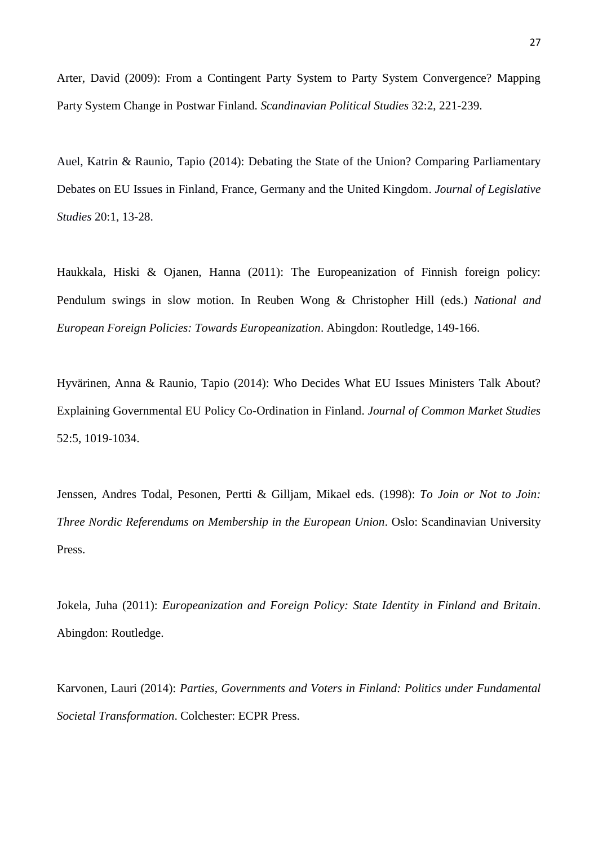Arter, David (2009): From a Contingent Party System to Party System Convergence? Mapping Party System Change in Postwar Finland. *Scandinavian Political Studies* 32:2, 221-239.

Auel, Katrin & Raunio, Tapio (2014): Debating the State of the Union? Comparing Parliamentary Debates on EU Issues in Finland, France, Germany and the United Kingdom. *Journal of Legislative Studies* 20:1, 13-28.

Haukkala, Hiski & Ojanen, Hanna (2011): The Europeanization of Finnish foreign policy: Pendulum swings in slow motion. In Reuben Wong & Christopher Hill (eds.) *National and European Foreign Policies: Towards Europeanization*. Abingdon: Routledge, 149-166.

Hyvärinen, Anna & Raunio, Tapio (2014): Who Decides What EU Issues Ministers Talk About? Explaining Governmental EU Policy Co-Ordination in Finland. *Journal of Common Market Studies* 52:5, 1019-1034.

Jenssen, Andres Todal, Pesonen, Pertti & Gilljam, Mikael eds. (1998): *To Join or Not to Join: Three Nordic Referendums on Membership in the European Union*. Oslo: Scandinavian University Press.

Jokela, Juha (2011): *Europeanization and Foreign Policy: State Identity in Finland and Britain*. Abingdon: Routledge.

Karvonen, Lauri (2014): *Parties, Governments and Voters in Finland: Politics under Fundamental Societal Transformation*. Colchester: ECPR Press.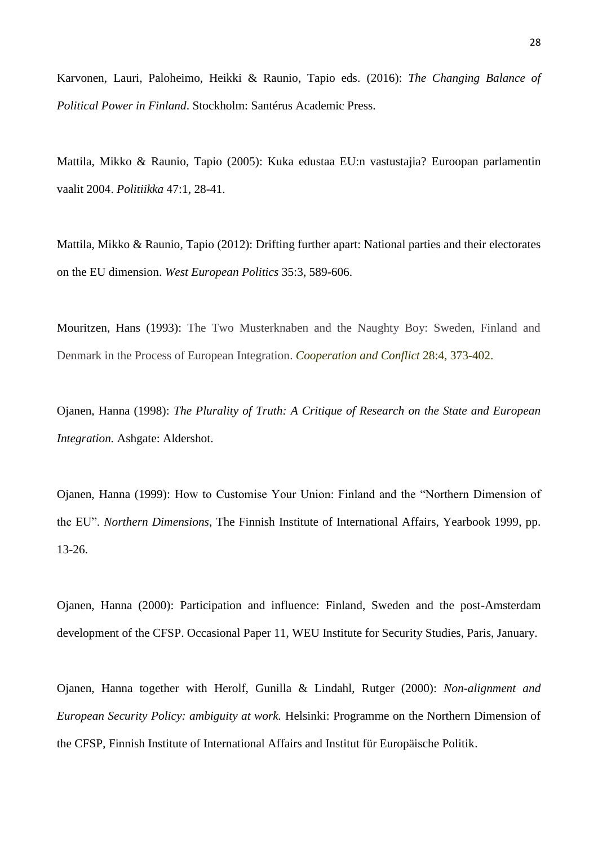Karvonen, Lauri, Paloheimo, Heikki & Raunio, Tapio eds. (2016): *The Changing Balance of Political Power in Finland*. Stockholm: Santérus Academic Press.

Mattila, Mikko & Raunio, Tapio (2005): Kuka edustaa EU:n vastustajia? Euroopan parlamentin vaalit 2004. *Politiikka* 47:1, 28-41.

Mattila, Mikko & Raunio, Tapio (2012): Drifting further apart: National parties and their electorates on the EU dimension. *West European Politics* 35:3, 589-606.

Mouritzen, Hans (1993): The Two Musterknaben and the Naughty Boy: Sweden, Finland and Denmark in the Process of European Integration. *Cooperation and Conflict* 28:4, 373-402.

Ojanen, Hanna (1998): *The Plurality of Truth: A Critique of Research on the State and European Integration.* Ashgate: Aldershot.

Ojanen, Hanna (1999): How to Customise Your Union: Finland and the "Northern Dimension of the EU". *Northern Dimensions*, The Finnish Institute of International Affairs, Yearbook 1999, pp. 13-26.

Ojanen, Hanna (2000): Participation and influence: Finland, Sweden and the post-Amsterdam development of the CFSP. Occasional Paper 11, WEU Institute for Security Studies, Paris, January.

Ojanen, Hanna together with Herolf, Gunilla & Lindahl, Rutger (2000): *Non-alignment and European Security Policy: ambiguity at work.* Helsinki: Programme on the Northern Dimension of the CFSP, Finnish Institute of International Affairs and Institut für Europäische Politik.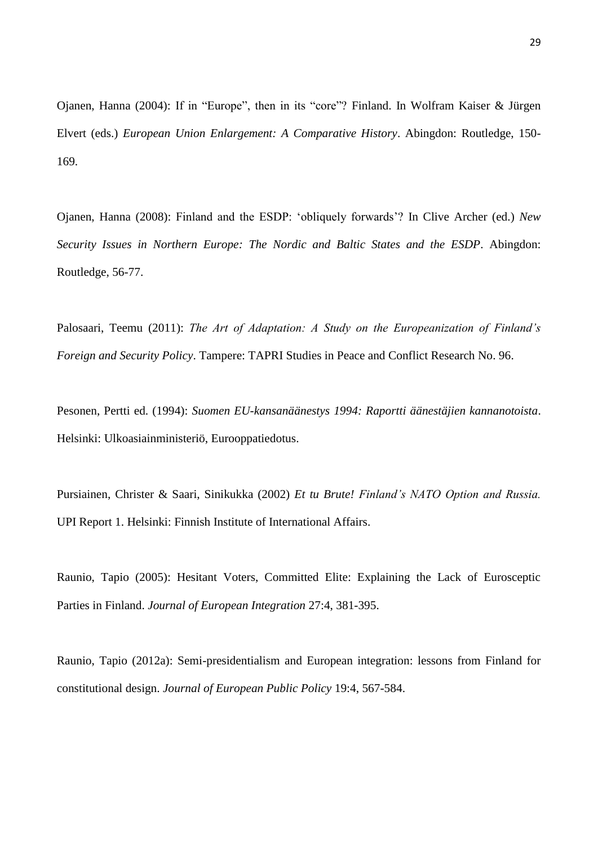Ojanen, Hanna (2004): If in "Europe", then in its "core"? Finland. In Wolfram Kaiser & Jürgen Elvert (eds.) *European Union Enlargement: A Comparative History*. Abingdon: Routledge, 150- 169.

Ojanen, Hanna (2008): Finland and the ESDP: 'obliquely forwards'? In Clive Archer (ed.) *New Security Issues in Northern Europe: The Nordic and Baltic States and the ESDP*. Abingdon: Routledge, 56-77.

Palosaari, Teemu (2011): *The Art of Adaptation: A Study on the Europeanization of Finland's Foreign and Security Policy*. Tampere: TAPRI Studies in Peace and Conflict Research No. 96.

Pesonen, Pertti ed. (1994): *Suomen EU-kansanäänestys 1994: Raportti äänestäjien kannanotoista*. Helsinki: Ulkoasiainministeriö, Eurooppatiedotus.

Pursiainen, Christer & Saari, Sinikukka (2002) *Et tu Brute! Finland's NATO Option and Russia.*  UPI Report 1. Helsinki: Finnish Institute of International Affairs.

Raunio, Tapio (2005): Hesitant Voters, Committed Elite: Explaining the Lack of Eurosceptic Parties in Finland. *Journal of European Integration* 27:4, 381-395.

Raunio, Tapio (2012a): Semi-presidentialism and European integration: lessons from Finland for constitutional design. *Journal of European Public Policy* 19:4, 567-584.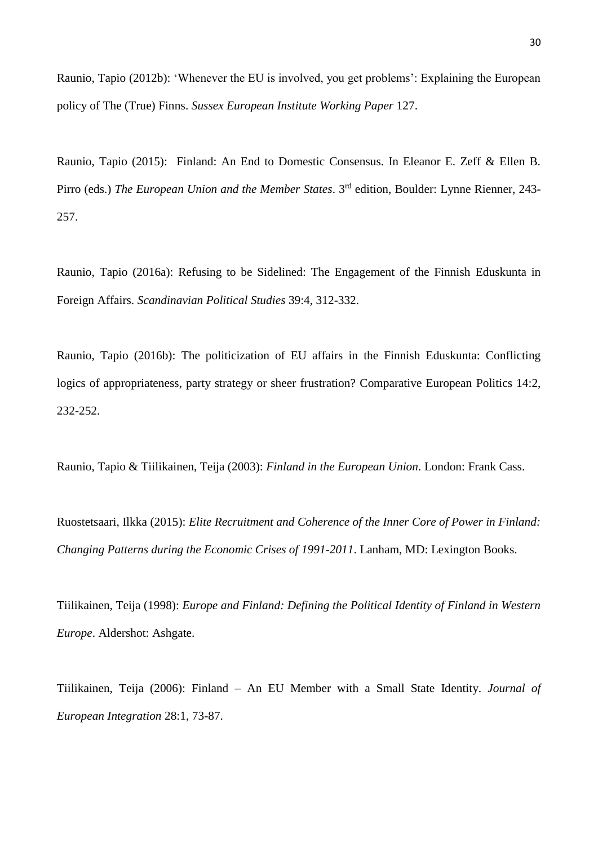Raunio, Tapio (2012b): 'Whenever the EU is involved, you get problems': Explaining the European policy of The (True) Finns. *Sussex European Institute Working Paper* 127.

Raunio, Tapio (2015): Finland: An End to Domestic Consensus. In Eleanor E. Zeff & Ellen B. Pirro (eds.) *The European Union and the Member States*. 3rd edition, Boulder: Lynne Rienner, 243- 257.

Raunio, Tapio (2016a): Refusing to be Sidelined: The Engagement of the Finnish Eduskunta in Foreign Affairs. *Scandinavian Political Studies* 39:4, 312-332.

Raunio, Tapio (2016b): The politicization of EU affairs in the Finnish Eduskunta: Conflicting logics of appropriateness, party strategy or sheer frustration? Comparative European Politics 14:2, 232-252.

Raunio, Tapio & Tiilikainen, Teija (2003): *Finland in the European Union*. London: Frank Cass.

Ruostetsaari, Ilkka (2015): *Elite Recruitment and Coherence of the Inner Core of Power in Finland: Changing Patterns during the Economic Crises of 1991-2011*. Lanham, MD: Lexington Books.

Tiilikainen, Teija (1998): *Europe and Finland: Defining the Political Identity of Finland in Western Europe*. Aldershot: Ashgate.

Tiilikainen, Teija (2006): Finland – An EU Member with a Small State Identity. *Journal of European Integration* 28:1, 73-87.